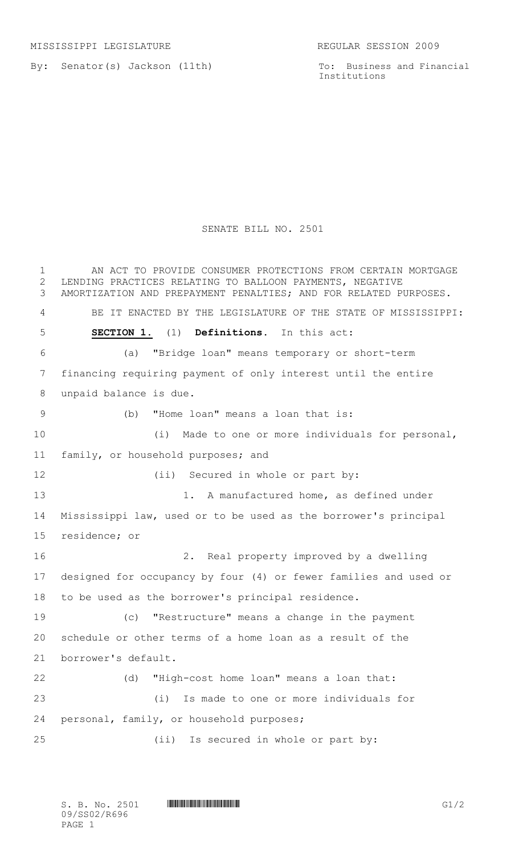By: Senator(s) Jackson (11th)

To: Business and Financial Institutions

## SENATE BILL NO. 2501

1 AN ACT TO PROVIDE CONSUMER PROTECTIONS FROM CERTAIN MORTGAGE LENDING PRACTICES RELATING TO BALLOON PAYMENTS, NEGATIVE AMORTIZATION AND PREPAYMENT PENALTIES; AND FOR RELATED PURPOSES. BE IT ENACTED BY THE LEGISLATURE OF THE STATE OF MISSISSIPPI: **SECTION 1.** (1) **Definitions.** In this act: (a) "Bridge loan" means temporary or short-term financing requiring payment of only interest until the entire unpaid balance is due. (b) "Home loan" means a loan that is: (i) Made to one or more individuals for personal, family, or household purposes; and 12 (ii) Secured in whole or part by: 13 1. A manufactured home, as defined under Mississippi law, used or to be used as the borrower's principal residence; or 2. Real property improved by a dwelling designed for occupancy by four (4) or fewer families and used or to be used as the borrower's principal residence. (c) "Restructure" means a change in the payment schedule or other terms of a home loan as a result of the borrower's default. (d) "High-cost home loan" means a loan that: (i) Is made to one or more individuals for personal, family, or household purposes; (ii) Is secured in whole or part by: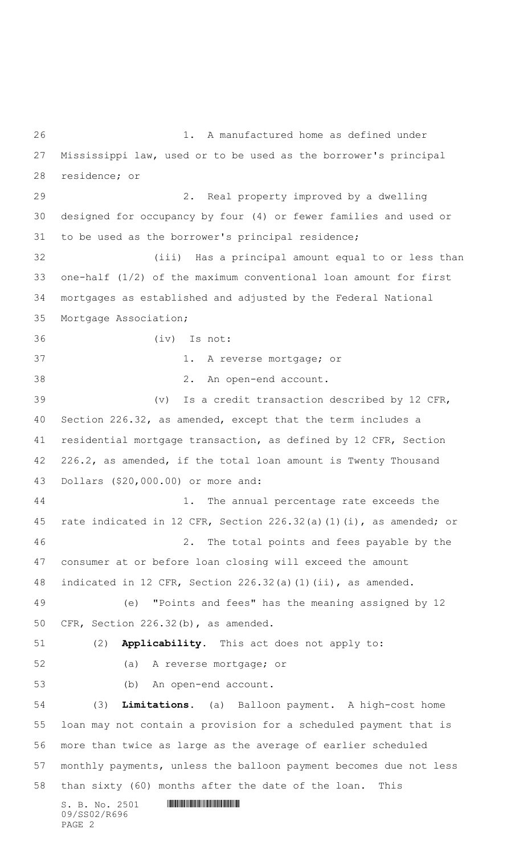$S. B. No. 2501$  . The set of  $\sim$  2501 and  $\sim$  500  $\mu$  and  $\sim$  500  $\mu$  and  $\sim$  500  $\mu$  and  $\sim$  500  $\mu$  500  $\mu$  500  $\mu$  500  $\mu$  500  $\mu$  500  $\mu$  500  $\mu$  500  $\mu$  500  $\mu$  500  $\mu$  500  $\mu$  500  $\mu$  500  $\mu$  500 09/SS02/R696 1. A manufactured home as defined under Mississippi law, used or to be used as the borrower's principal residence; or 2. Real property improved by a dwelling designed for occupancy by four (4) or fewer families and used or to be used as the borrower's principal residence; (iii) Has a principal amount equal to or less than one-half (1/2) of the maximum conventional loan amount for first mortgages as established and adjusted by the Federal National Mortgage Association; (iv) Is not: 1. A reverse mortgage; or 2. An open-end account. (v) Is a credit transaction described by 12 CFR, Section 226.32, as amended, except that the term includes a residential mortgage transaction, as defined by 12 CFR, Section 226.2, as amended, if the total loan amount is Twenty Thousand Dollars (\$20,000.00) or more and: 44 1. The annual percentage rate exceeds the rate indicated in 12 CFR, Section 226.32(a)(1)(i), as amended; or 2. The total points and fees payable by the consumer at or before loan closing will exceed the amount indicated in 12 CFR, Section 226.32(a)(1)(ii), as amended. (e) "Points and fees" has the meaning assigned by 12 CFR, Section 226.32(b), as amended. (2) **Applicability.** This act does not apply to: (a) A reverse mortgage; or (b) An open-end account. (3) **Limitations.** (a) Balloon payment. A high-cost home loan may not contain a provision for a scheduled payment that is more than twice as large as the average of earlier scheduled monthly payments, unless the balloon payment becomes due not less than sixty (60) months after the date of the loan. This

PAGE 2